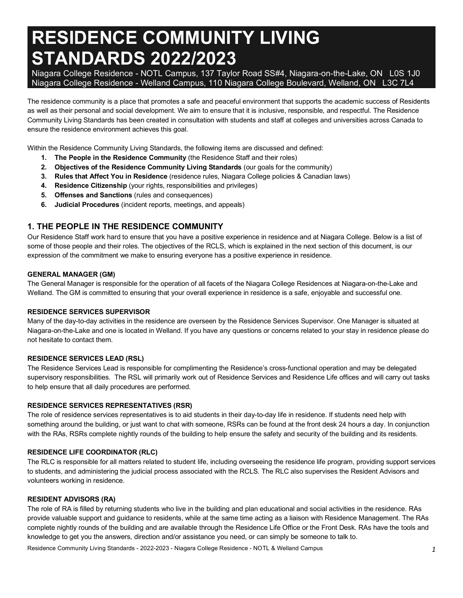# **RESIDENCE COMMUNITY LIVING STANDARDS 2022/2023**

 Niagara College Residence - NOTL Campus, 137 Taylor Road SS#4, Niagara-on-the-Lake, ON L0S 1J0 Niagara College Residence - Welland Campus, 110 Niagara College Boulevard, Welland, ON L3C 7L4

 The residence community is a place that promotes a safe and peaceful environment that supports the academic success of Residents as well as their personal and social development. We aim to ensure that it is inclusive, responsible, and respectful. The Residence Community Living Standards has been created in consultation with students and staff at colleges and universities across Canada to ensure the residence environment achieves this goal.

Within the Residence Community Living Standards, the following items are discussed and defined:

- **1. The People in the Residence Community** (the Residence Staff and their roles)
- **2. Objectives of the Residence Community Living Standards** (our goals for the community)
- **3. Rules that Affect You in Residence** (residence rules, Niagara College policies & Canadian laws)
- **4. Residence Citizenship** (your rights, responsibilities and privileges)
- **5. Offenses and Sanctions** (rules and consequences)
- **6. Judicial Procedures** (incident reports, meetings, and appeals)

#### **1. THE PEOPLE IN THE RESIDENCE COMMUNITY**

 Our Residence Staff work hard to ensure that you have a positive experience in residence and at Niagara College. Below is a list of some of those people and their roles. The objectives of the RCLS, which is explained in the next section of this document, is our expression of the commitment we make to ensuring everyone has a positive experience in residence.

#### **GENERAL MANAGER (GM)**

 The General Manager is responsible for the operation of all facets of the Niagara College Residences at Niagara-on-the-Lake and Welland. The GM is committed to ensuring that your overall experience in residence is a safe, enjoyable and successful one.

#### **RESIDENCE SERVICES SUPERVISOR**

 Many of the day-to-day activities in the residence are overseen by the Residence Services Supervisor. One Manager is situated at Niagara-on-the-Lake and one is located in Welland. If you have any questions or concerns related to your stay in residence please do not hesitate to contact them.

#### **RESIDENCE SERVICES LEAD (RSL)**

 The Residence Services Lead is responsible for complimenting the Residence's cross-functional operation and may be delegated supervisory responsibilities. The RSL will primarily work out of Residence Services and Residence Life offices and will carry out tasks to help ensure that all daily procedures are performed.

#### **RESIDENCE SERVICES REPRESENTATIVES (RSR)**

 The role of residence services representatives is to aid students in their day-to-day life in residence. If students need help with something around the building, or just want to chat with someone, RSRs can be found at the front desk 24 hours a day. In conjunction with the RAs, RSRs complete nightly rounds of the building to help ensure the safety and security of the building and its residents.

#### **RESIDENCE LIFE COORDINATOR (RLC)**

 The RLC is responsible for all matters related to student life, including overseeing the residence life program, providing support services to students, and administering the judicial process associated with the RCLS. The RLC also supervises the Resident Advisors and volunteers working in residence.

#### **RESIDENT ADVISORS (RA)**

 The role of RA is filled by returning students who live in the building and plan educational and social activities in the residence. RAs provide valuable support and guidance to residents, while at the same time acting as a liaison with Residence Management. The RAs complete nightly rounds of the building and are available through the Residence Life Office or the Front Desk. RAs have the tools and knowledge to get you the answers, direction and/or assistance you need, or can simply be someone to talk to.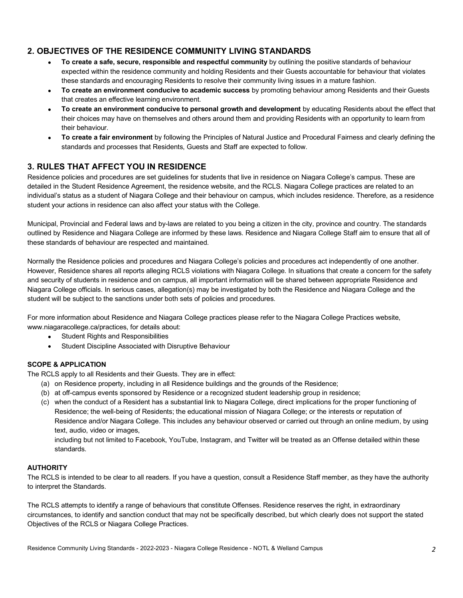# **2. OBJECTIVES OF THE RESIDENCE COMMUNITY LIVING STANDARDS**

- **To create a safe, secure, responsible and respectful community** by outlining the positive standards of behaviour expected within the residence community and holding Residents and their Guests accountable for behaviour that violates these standards and encouraging Residents to resolve their community living issues in a mature fashion.
- **To create an environment conducive to academic success** by promoting behaviour among Residents and their Guests that creates an effective learning environment.
- **To create an environment conducive to personal growth and development** by educating Residents about the effect that their choices may have on themselves and others around them and providing Residents with an opportunity to learn from their behaviour.
- **To create a fair environment** by following the Principles of Natural Justice and Procedural Fairness and clearly defining the standards and processes that Residents, Guests and Staff are expected to follow.

# **3. RULES THAT AFFECT YOU IN RESIDENCE**

 Residence policies and procedures are set guidelines for students that live in residence on Niagara College's campus. These are detailed in the Student Residence Agreement, the residence website, and the RCLS. Niagara College practices are related to an individual's status as a student of Niagara College and their behaviour on campus, which includes residence. Therefore, as a residence student your actions in residence can also affect your status with the College.

 Municipal, Provincial and Federal laws and by-laws are related to you being a citizen in the city, province and country. The standards outlined by Residence and Niagara College are informed by these laws. Residence and Niagara College Staff aim to ensure that all of these standards of behaviour are respected and maintained.

 Normally the Residence policies and procedures and Niagara College's policies and procedures act independently of one another. However, Residence shares all reports alleging RCLS violations with Niagara College. In situations that create a concern for the safety and security of students in residence and on campus, all important information will be shared between appropriate Residence and Niagara College officials. In serious cases, allegation(s) may be investigated by both the Residence and Niagara College and the student will be subject to the sanctions under both sets of policies and procedures.

 For more information about Residence and Niagara College practices please refer to the Niagara College Practices website, [www.niagaracollege.ca/practices,](www.niagaracollege.ca/practices) for details about:

- $\bullet$ • Student Rights and Responsibilities
- Student Discipline Associated with Disruptive Behaviour

#### **SCOPE & APPLICATION**

The RCLS apply to all Residents and their Guests. They are in effect:

- (a) on Residence property, including in all Residence buildings and the grounds of the Residence;
- (b) at off-campus events sponsored by Residence or a recognized student leadership group in residence;
- (c) when the conduct of a Resident has a substantial link to Niagara College, direct implications for the proper functioning of Residence; the well-being of Residents; the educational mission of Niagara College; or the interests or reputation of Residence and/or Niagara College. This includes any behaviour observed or carried out through an online medium, by using text, audio, video or images,

 including but not limited to Facebook, YouTube, Instagram, and Twitter will be treated as an Offense detailed within these standards.

#### **AUTHORITY**

 The RCLS is intended to be clear to all readers. If you have a question, consult a Residence Staff member, as they have the authority to interpret the Standards.

 The RCLS attempts to identify a range of behaviours that constitute Offenses. Residence reserves the right, in extraordinary circumstances, to identify and sanction conduct that may not be specifically described, but which clearly does not support the stated Objectives of the RCLS or Niagara College Practices.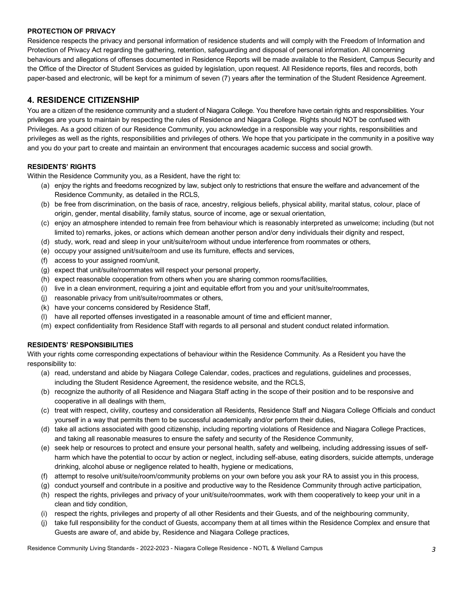#### **PROTECTION OF PRIVACY**

 Residence respects the privacy and personal information of residence students and will comply with the Freedom of Information and Protection of Privacy Act regarding the gathering, retention, safeguarding and disposal of personal information. All concerning behaviours and allegations of offenses documented in Residence Reports will be made available to the Resident, Campus Security and the Office of the Director of Student Services as guided by legislation, upon request. All Residence reports, files and records, both paper-based and electronic, will be kept for a minimum of seven (7) years after the termination of the Student Residence Agreement.

# **4. RESIDENCE CITIZENSHIP**

 You are a citizen of the residence community and a student of Niagara College. You therefore have certain rights and responsibilities. Your privileges are yours to maintain by respecting the rules of Residence and Niagara College. Rights should NOT be confused with Privileges. As a good citizen of our Residence Community, you acknowledge in a responsible way your rights, responsibilities and privileges as well as the rights, responsibilities and privileges of others. We hope that you participate in the community in a positive way and you do your part to create and maintain an environment that encourages academic success and social growth.

#### **RESIDENTS' RIGHTS**

Within the Residence Community you, as a Resident, have the right to:

- (a) enjoy the rights and freedoms recognized by law, subject only to restrictions that ensure the welfare and advancement of the Residence Community, as detailed in the RCLS,
- (b) be free from discrimination, on the basis of race, ancestry, religious beliefs, physical ability, marital status, colour, place of origin, gender, mental disability, family status, source of income, age or sexual orientation,
- (c) enjoy an atmosphere intended to remain free from behaviour which is reasonably interpreted as unwelcome; including (but not limited to) remarks, jokes, or actions which demean another person and/or deny individuals their dignity and respect,
- (d) study, work, read and sleep in your unit/suite/room without undue interference from roommates or others,
- (e) occupy your assigned unit/suite/room and use its furniture, effects and services,
- (f) access to your assigned room/unit,
- (g) expect that unit/suite/roommates will respect your personal property,
- (h) expect reasonable cooperation from others when you are sharing common rooms/facilities,
- (i) live in a clean environment, requiring a joint and equitable effort from you and your unit/suite/roommates,
- (j) reasonable privacy from unit/suite/roommates or others,
- (k) have your concerns considered by Residence Staff,
- (l) have all reported offenses investigated in a reasonable amount of time and efficient manner,
- (m) expect confidentiality from Residence Staff with regards to all personal and student conduct related information.

#### **RESIDENTS' RESPONSIBILITIES**

 With your rights come corresponding expectations of behaviour within the Residence Community. As a Resident you have the responsibility to:

- (a) read, understand and abide by Niagara College Calendar, codes, practices and regulations, guidelines and processes, including the Student Residence Agreement, the residence website, and the RCLS,
- (b) recognize the authority of all Residence and Niagara Staff acting in the scope of their position and to be responsive and cooperative in all dealings with them,
- (c) treat with respect, civility, courtesy and consideration all Residents, Residence Staff and Niagara College Officials and conduct yourself in a way that permits them to be successful academically and/or perform their duties,
- (d) take all actions associated with good citizenship, including reporting violations of Residence and Niagara College Practices, and taking all reasonable measures to ensure the safety and security of the Residence Community,
- (e) seek help or resources to protect and ensure your personal health, safety and wellbeing, including addressing issues of self- harm which have the potential to occur by action or neglect, including self-abuse, eating disorders, suicide attempts, underage drinking, alcohol abuse or negligence related to health, hygiene or medications,
- (f) attempt to resolve unit/suite/room/community problems on your own before you ask your RA to assist you in this process,
- (g) conduct yourself and contribute in a positive and productive way to the Residence Community through active participation,
- (h) respect the rights, privileges and privacy of your unit/suite/roommates, work with them cooperatively to keep your unit in a clean and tidy condition,
- (i) respect the rights, privileges and property of all other Residents and their Guests, and of the neighbouring community,
- (j) take full responsibility for the conduct of Guests, accompany them at all times within the Residence Complex and ensure that Guests are aware of, and abide by, Residence and Niagara College practices,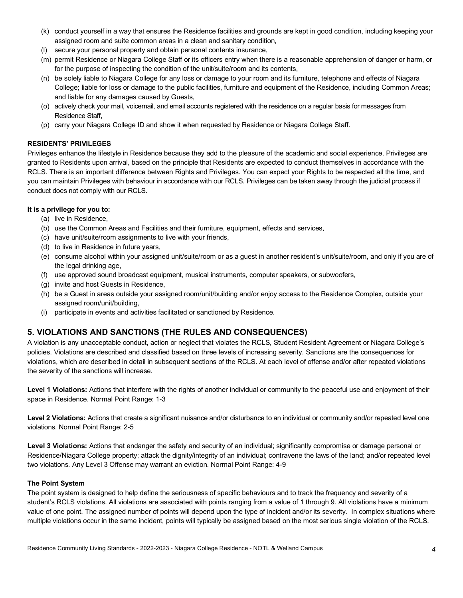- (k) conduct yourself in a way that ensures the Residence facilities and grounds are kept in good condition, including keeping your assigned room and suite common areas in a clean and sanitary condition,
- (l) secure your personal property and obtain personal contents insurance,
- (m) permit Residence or Niagara College Staff or its officers entry when there is a reasonable apprehension of danger or harm, or for the purpose of inspecting the condition of the unit/suite/room and its contents,
- (n) be solely liable to Niagara College for any loss or damage to your room and its furniture, telephone and effects of Niagara College; liable for loss or damage to the public facilities, furniture and equipment of the Residence, including Common Areas; and liable for any damages caused by Guests,
- (o) actively check your mail, voicemail, and email accounts registered with the residence on a regular basis for messages from Residence Staff,
- (p) carry your Niagara College ID and show it when requested by Residence or Niagara College Staff.

#### **RESIDENTS' PRIVILEGES**

 Privileges enhance the lifestyle in Residence because they add to the pleasure of the academic and social experience. Privileges are granted to Residents upon arrival, based on the principle that Residents are expected to conduct themselves in accordance with the RCLS. There is an important difference between Rights and Privileges. You can expect your Rights to be respected all the time, and you can maintain Privileges with behaviour in accordance with our RCLS. Privileges can be taken away through the judicial process if conduct does not comply with our RCLS.

#### **It is a privilege for you to:**

- (a) live in Residence,
- (b) use the Common Areas and Facilities and their furniture, equipment, effects and services,
- (c) have unit/suite/room assignments to live with your friends,
- (d) to live in Residence in future years,
- (e) consume alcohol within your assigned unit/suite/room or as a guest in another resident's unit/suite/room, and only if you are of the legal drinking age,
- (f) use approved sound broadcast equipment, musical instruments, computer speakers, or subwoofers,
- (g) invite and host Guests in Residence,
- (h) be a Guest in areas outside your assigned room/unit/building and/or enjoy access to the Residence Complex, outside your assigned room/unit/building,
- (i) participate in events and activities facilitated or sanctioned by Residence.

# **5. VIOLATIONS AND SANCTIONS (THE RULES AND CONSEQUENCES)**

 A violation is any unacceptable conduct, action or neglect that violates the RCLS, Student Resident Agreement or Niagara College's policies. Violations are described and classified based on three levels of increasing severity. Sanctions are the consequences for violations, which are described in detail in subsequent sections of the RCLS. At each level of offense and/or after repeated violations the severity of the sanctions will increase.

Level 1 Violations: Actions that interfere with the rights of another individual or community to the peaceful use and enjoyment of their space in Residence. Normal Point Range: 1-3

Level 2 Violations: Actions that create a significant nuisance and/or disturbance to an individual or community and/or repeated level one violations. Normal Point Range: 2-5

Level 3 Violations: Actions that endanger the safety and security of an individual; significantly compromise or damage personal or Residence/Niagara College property; attack the dignity/integrity of an individual; contravene the laws of the land; and/or repeated level two violations. Any Level 3 Offense may warrant an eviction. Normal Point Range: 4-9

#### **The Point System**

 The point system is designed to help define the seriousness of specific behaviours and to track the frequency and severity of a student's RCLS violations. All violations are associated with points ranging from a value of 1 through 9. All violations have a minimum value of one point. The assigned number of points will depend upon the type of incident and/or its severity. In complex situations where multiple violations occur in the same incident, points will typically be assigned based on the most serious single violation of the RCLS.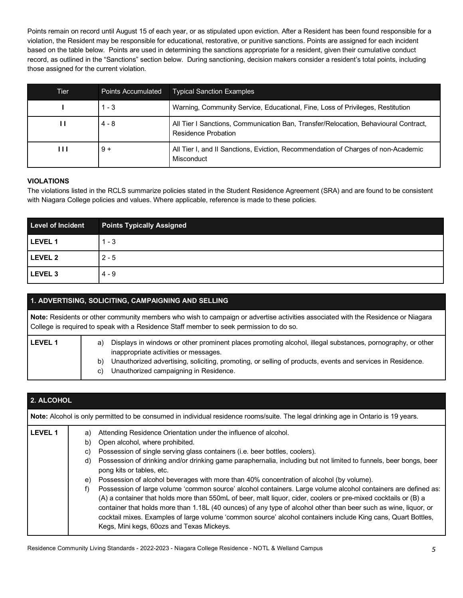Points remain on record until August 15 of each year, or as stipulated upon eviction. After a Resident has been found responsible for a violation, the Resident may be responsible for educational, restorative, or punitive sanctions. Points are assigned for each incident based on the table below. Points are used in determining the sanctions appropriate for a resident, given their cumulative conduct record, as outlined in the "Sanctions" section below. During sanctioning, decision makers consider a resident's total points, including those assigned for the current violation.

| Tier | <b>Points Accumulated</b> | <b>Typical Sanction Examples</b>                                                                           |
|------|---------------------------|------------------------------------------------------------------------------------------------------------|
|      | $1 - 3$                   | Warning, Community Service, Educational, Fine, Loss of Privileges, Restitution                             |
| Н    | 4 - 8                     | All Tier I Sanctions, Communication Ban, Transfer/Relocation, Behavioural Contract,<br>Residence Probation |
| ш    | $9 +$                     | All Tier I, and II Sanctions, Eviction, Recommendation of Charges of non-Academic<br>Misconduct            |

#### **VIOLATIONS**

 The violations listed in the RCLS summarize policies stated in the Student Residence Agreement (SRA) and are found to be consistent with Niagara College policies and values. Where applicable, reference is made to these policies.

| <b>Level of Incident</b> | <b>Points Typically Assigned</b> |
|--------------------------|----------------------------------|
| LEVEL 1                  | $1 - 3$                          |
| LEVEL 2                  | $2 - 5$                          |
| LEVEL <sub>3</sub>       | $4 - 9$                          |

| 1. ADVERTISING, SOLICITING, CAMPAIGNING AND SELLING |                                                                                                                                                                                                                                                                                                                               |  |
|-----------------------------------------------------|-------------------------------------------------------------------------------------------------------------------------------------------------------------------------------------------------------------------------------------------------------------------------------------------------------------------------------|--|
|                                                     | Note: Residents or other community members who wish to campaign or advertise activities associated with the Residence or Niagara<br>College is required to speak with a Residence Staff member to seek permission to do so.                                                                                                   |  |
| <b>LEVEL 1</b>                                      | Displays in windows or other prominent places promoting alcohol, illegal substances, pornography, or other<br>a)<br>inappropriate activities or messages.<br>Unauthorized advertising, soliciting, promoting, or selling of products, events and services in Residence.<br>b)<br>Unauthorized campaigning in Residence.<br>C) |  |

| 2. ALCOHOL     |                                                                                                                                    |                                                                                                                                                                                                                                                                                                                                                                                                                                                                                                                                                                                                                                                                                                                                                                                                                                                                                                                                                        |  |  |
|----------------|------------------------------------------------------------------------------------------------------------------------------------|--------------------------------------------------------------------------------------------------------------------------------------------------------------------------------------------------------------------------------------------------------------------------------------------------------------------------------------------------------------------------------------------------------------------------------------------------------------------------------------------------------------------------------------------------------------------------------------------------------------------------------------------------------------------------------------------------------------------------------------------------------------------------------------------------------------------------------------------------------------------------------------------------------------------------------------------------------|--|--|
|                | Note: Alcohol is only permitted to be consumed in individual residence rooms/suite. The legal drinking age in Ontario is 19 years. |                                                                                                                                                                                                                                                                                                                                                                                                                                                                                                                                                                                                                                                                                                                                                                                                                                                                                                                                                        |  |  |
| <b>LEVEL 1</b> | a)<br>b)<br>C)<br>d)<br>e)<br>f)                                                                                                   | Attending Residence Orientation under the influence of alcohol.<br>Open alcohol, where prohibited.<br>Possession of single serving glass containers (i.e. beer bottles, coolers).<br>Possession of drinking and/or drinking game paraphernalia, including but not limited to funnels, beer bongs, beer<br>pong kits or tables, etc.<br>Possession of alcohol beverages with more than 40% concentration of alcohol (by volume).<br>Possession of large volume 'common source' alcohol containers. Large volume alcohol containers are defined as:<br>(A) a container that holds more than 550mL of beer, malt liquor, cider, coolers or pre-mixed cocktails or (B) a<br>container that holds more than 1.18L (40 ounces) of any type of alcohol other than beer such as wine, liquor, or<br>cocktail mixes. Examples of large volume 'common source' alcohol containers include King cans, Quart Bottles,<br>Kegs, Mini kegs, 60ozs and Texas Mickeys. |  |  |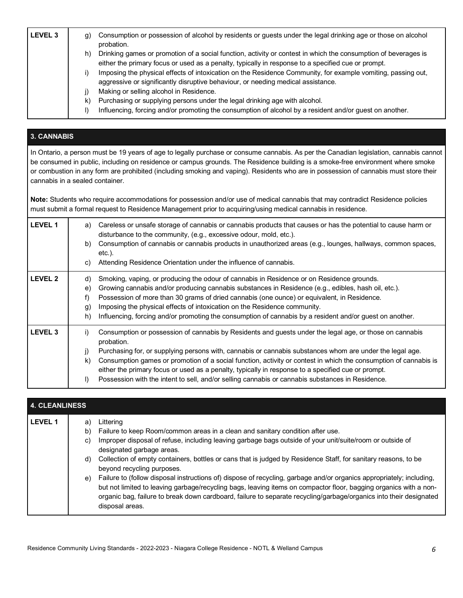| <b>LEVEL 3</b> | Consumption or possession of alcohol by residents or guests under the legal drinking age or those on alcohol<br>q)<br>probation.                                                                                           |
|----------------|----------------------------------------------------------------------------------------------------------------------------------------------------------------------------------------------------------------------------|
|                | Drinking games or promotion of a social function, activity or contest in which the consumption of beverages is<br>h)<br>either the primary focus or used as a penalty, typically in response to a specified cue or prompt. |
|                | Imposing the physical effects of intoxication on the Residence Community, for example vomiting, passing out,<br>aggressive or significantly disruptive behaviour, or needing medical assistance.                           |
|                | Making or selling alcohol in Residence.                                                                                                                                                                                    |
|                | Purchasing or supplying persons under the legal drinking age with alcohol.                                                                                                                                                 |
|                | Influencing, forcing and/or promoting the consumption of alcohol by a resident and/or guest on another.                                                                                                                    |

# **3. CANNABIS**

 In Ontario, a person must be 19 years of age to legally purchase or consume cannabis. As per the Canadian legislation, cannabis cannot be consumed in public, including on residence or campus grounds. The Residence building is a smoke-free environment where smoke or combustion in any form are prohibited (including smoking and vaping). Residents who are in possession of cannabis must store their cannabis in a sealed container.

 **Note:** Students who require accommodations for possession and/or use of medical cannabis that may contradict Residence policies must submit a formal request to Residence Management prior to acquiring/using medical cannabis in residence.

| <b>LEVEL 1</b> | Careless or unsafe storage of cannabis or cannabis products that causes or has the potential to cause harm or<br>a)<br>disturbance to the community, (e.g., excessive odour, mold, etc.).<br>Consumption of cannabis or cannabis products in unauthorized areas (e.g., lounges, hallways, common spaces,<br>b)<br>etc.).<br>Attending Residence Orientation under the influence of cannabis.<br>C)                                                                                                                                                                                      |
|----------------|-----------------------------------------------------------------------------------------------------------------------------------------------------------------------------------------------------------------------------------------------------------------------------------------------------------------------------------------------------------------------------------------------------------------------------------------------------------------------------------------------------------------------------------------------------------------------------------------|
| <b>LEVEL 2</b> | Smoking, vaping, or producing the odour of cannabis in Residence or on Residence grounds.<br>d)<br>Growing cannabis and/or producing cannabis substances in Residence (e.g., edibles, hash oil, etc.).<br>e)<br>Possession of more than 30 grams of dried cannabis (one ounce) or equivalent, in Residence.<br>f)<br>Imposing the physical effects of intoxication on the Residence community.<br>g)<br>Influencing, forcing and/or promoting the consumption of cannabis by a resident and/or guest on another.<br>h)                                                                  |
| <b>LEVEL 3</b> | Consumption or possession of cannabis by Residents and guests under the legal age, or those on cannabis<br>i)<br>probation.<br>Purchasing for, or supplying persons with, cannabis or cannabis substances whom are under the legal age.<br>j)<br>Consumption games or promotion of a social function, activity or contest in which the consumption of cannabis is<br>k)<br>either the primary focus or used as a penalty, typically in response to a specified cue or prompt.<br>Possession with the intent to sell, and/or selling cannabis or cannabis substances in Residence.<br>I) |

| 4. CLEANLINESS |    |                                                                                                                                                                                                                                                                                                                                                                                    |  |
|----------------|----|------------------------------------------------------------------------------------------------------------------------------------------------------------------------------------------------------------------------------------------------------------------------------------------------------------------------------------------------------------------------------------|--|
| <b>LEVEL 1</b> | a) | Littering                                                                                                                                                                                                                                                                                                                                                                          |  |
|                | b) | Failure to keep Room/common areas in a clean and sanitary condition after use.                                                                                                                                                                                                                                                                                                     |  |
|                | C) | Improper disposal of refuse, including leaving garbage bags outside of your unit/suite/room or outside of<br>designated garbage areas.                                                                                                                                                                                                                                             |  |
|                | d) | Collection of empty containers, bottles or cans that is judged by Residence Staff, for sanitary reasons, to be<br>beyond recycling purposes.                                                                                                                                                                                                                                       |  |
|                | e) | Failure to (follow disposal instructions of) dispose of recycling, garbage and/or organics appropriately; including,<br>but not limited to leaving garbage/recycling bags, leaving items on compactor floor, bagging organics with a non-<br>organic bag, failure to break down cardboard, failure to separate recycling/garbage/organics into their designated<br>disposal areas. |  |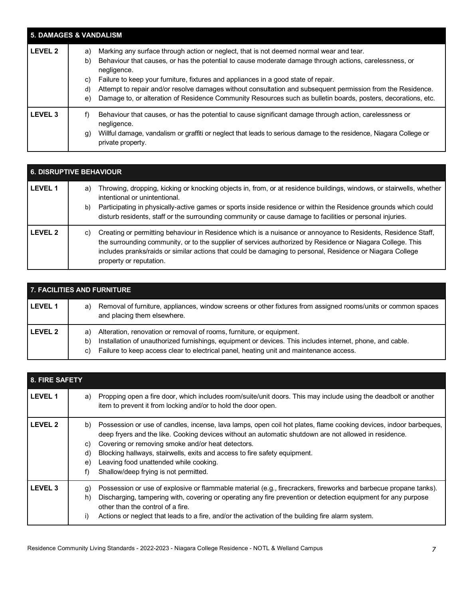| <b>5. DAMAGES &amp; VANDALISM</b> |                                                                                                                                                                                                                                                                                                                                                                                                                                                                                                                                                                      |  |
|-----------------------------------|----------------------------------------------------------------------------------------------------------------------------------------------------------------------------------------------------------------------------------------------------------------------------------------------------------------------------------------------------------------------------------------------------------------------------------------------------------------------------------------------------------------------------------------------------------------------|--|
| <b>LEVEL 2</b>                    | Marking any surface through action or neglect, that is not deemed normal wear and tear.<br>a)<br>Behaviour that causes, or has the potential to cause moderate damage through actions, carelessness, or<br>b)<br>negligence.<br>Failure to keep your furniture, fixtures and appliances in a good state of repair.<br>C)<br>Attempt to repair and/or resolve damages without consultation and subsequent permission from the Residence.<br>d)<br>Damage to, or alteration of Residence Community Resources such as bulletin boards, posters, decorations, etc.<br>e) |  |
| <b>LEVEL 3</b>                    | Behaviour that causes, or has the potential to cause significant damage through action, carelessness or<br>t)<br>negligence.<br>Willful damage, vandalism or graffiti or neglect that leads to serious damage to the residence, Niagara College or<br>g)<br>private property.                                                                                                                                                                                                                                                                                        |  |

| <b>6. DISRUPTIVE BEHAVIOUR</b> |                                                                                                                                                                                                                                                                                                                                                                                                   |  |
|--------------------------------|---------------------------------------------------------------------------------------------------------------------------------------------------------------------------------------------------------------------------------------------------------------------------------------------------------------------------------------------------------------------------------------------------|--|
| <b>LEVEL 1</b>                 | Throwing, dropping, kicking or knocking objects in, from, or at residence buildings, windows, or stairwells, whether<br>a)<br>intentional or unintentional.<br>Participating in physically-active games or sports inside residence or within the Residence grounds which could<br>b)<br>disturb residents, staff or the surrounding community or cause damage to facilities or personal injuries. |  |
| <b>LEVEL 2</b>                 | Creating or permitting behaviour in Residence which is a nuisance or annoyance to Residents, Residence Staff,<br>C)<br>the surrounding community, or to the supplier of services authorized by Residence or Niagara College. This<br>includes pranks/raids or similar actions that could be damaging to personal, Residence or Niagara College<br>property or reputation.                         |  |

| 7. FACILITIES AND FURNITURE |                                                                                                                                                                                                                                                                                               |  |
|-----------------------------|-----------------------------------------------------------------------------------------------------------------------------------------------------------------------------------------------------------------------------------------------------------------------------------------------|--|
| l LEVEL 1                   | Removal of furniture, appliances, window screens or other fixtures from assigned rooms/units or common spaces<br>a)<br>and placing them elsewhere.                                                                                                                                            |  |
| <b>LEVEL 2</b>              | Alteration, renovation or removal of rooms, furniture, or equipment.<br>a)<br>Installation of unauthorized furnishings, equipment or devices. This includes internet, phone, and cable.<br>b)<br>Failure to keep access clear to electrical panel, heating unit and maintenance access.<br>C) |  |

| 8. FIRE SAFETY |                                                                                                                                                                                                                                                                                                                                                                                                                                                                               |  |
|----------------|-------------------------------------------------------------------------------------------------------------------------------------------------------------------------------------------------------------------------------------------------------------------------------------------------------------------------------------------------------------------------------------------------------------------------------------------------------------------------------|--|
| <b>LEVEL 1</b> | Propping open a fire door, which includes room/suite/unit doors. This may include using the deadbolt or another<br>a)<br>item to prevent it from locking and/or to hold the door open.                                                                                                                                                                                                                                                                                        |  |
| <b>LEVEL 2</b> | Possession or use of candles, incense, lava lamps, open coil hot plates, flame cooking devices, indoor barbeques,<br>b)<br>deep fryers and the like. Cooking devices without an automatic shutdown are not allowed in residence.<br>Covering or removing smoke and/or heat detectors.<br>C)<br>Blocking hallways, stairwells, exits and access to fire safety equipment.<br>d)<br>Leaving food unattended while cooking.<br>e)<br>Shallow/deep frying is not permitted.<br>f) |  |
| <b>LEVEL 3</b> | Possession or use of explosive or flammable material (e.g., firecrackers, fireworks and barbecue propane tanks).<br>g)<br>Discharging, tampering with, covering or operating any fire prevention or detection equipment for any purpose<br>h)<br>other than the control of a fire.<br>Actions or neglect that leads to a fire, and/or the activation of the building fire alarm system.<br>i)                                                                                 |  |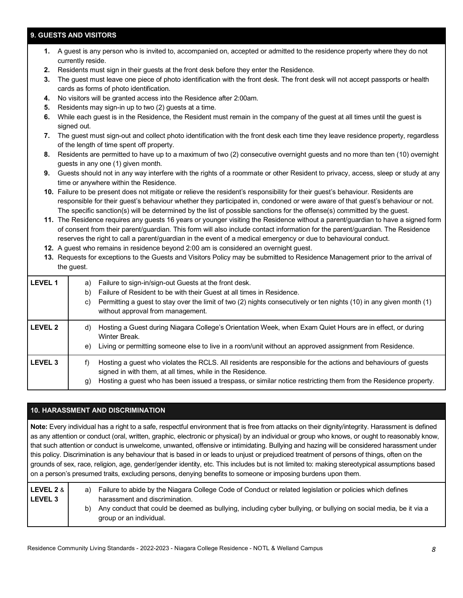#### **9. GUESTS AND VISITORS**

| 1.             | currently reside.                                                                                                                                                         | A guest is any person who is invited to, accompanied on, accepted or admitted to the residence property where they do not                                                                                                                                                                                                                                                                                                                                                                                                                                                                                                                                                                                                                   |  |  |
|----------------|---------------------------------------------------------------------------------------------------------------------------------------------------------------------------|---------------------------------------------------------------------------------------------------------------------------------------------------------------------------------------------------------------------------------------------------------------------------------------------------------------------------------------------------------------------------------------------------------------------------------------------------------------------------------------------------------------------------------------------------------------------------------------------------------------------------------------------------------------------------------------------------------------------------------------------|--|--|
| 2.             | Residents must sign in their guests at the front desk before they enter the Residence.                                                                                    |                                                                                                                                                                                                                                                                                                                                                                                                                                                                                                                                                                                                                                                                                                                                             |  |  |
| 3.             | The guest must leave one piece of photo identification with the front desk. The front desk will not accept passports or health<br>cards as forms of photo identification. |                                                                                                                                                                                                                                                                                                                                                                                                                                                                                                                                                                                                                                                                                                                                             |  |  |
| 4.             |                                                                                                                                                                           | No visitors will be granted access into the Residence after 2:00am.                                                                                                                                                                                                                                                                                                                                                                                                                                                                                                                                                                                                                                                                         |  |  |
| 5.             |                                                                                                                                                                           | Residents may sign-in up to two (2) guests at a time.                                                                                                                                                                                                                                                                                                                                                                                                                                                                                                                                                                                                                                                                                       |  |  |
| 6.             | signed out.                                                                                                                                                               | While each guest is in the Residence, the Resident must remain in the company of the guest at all times until the guest is                                                                                                                                                                                                                                                                                                                                                                                                                                                                                                                                                                                                                  |  |  |
| 7.             |                                                                                                                                                                           | The guest must sign-out and collect photo identification with the front desk each time they leave residence property, regardless<br>of the length of time spent off property.                                                                                                                                                                                                                                                                                                                                                                                                                                                                                                                                                               |  |  |
| 8.             |                                                                                                                                                                           | Residents are permitted to have up to a maximum of two (2) consecutive overnight guests and no more than ten (10) overnight<br>guests in any one (1) given month.                                                                                                                                                                                                                                                                                                                                                                                                                                                                                                                                                                           |  |  |
| 9.             |                                                                                                                                                                           | Guests should not in any way interfere with the rights of a roommate or other Resident to privacy, access, sleep or study at any<br>time or anywhere within the Residence.                                                                                                                                                                                                                                                                                                                                                                                                                                                                                                                                                                  |  |  |
|                |                                                                                                                                                                           | 10. Failure to be present does not mitigate or relieve the resident's responsibility for their guest's behaviour. Residents are<br>responsible for their guest's behaviour whether they participated in, condoned or were aware of that guest's behaviour or not.                                                                                                                                                                                                                                                                                                                                                                                                                                                                           |  |  |
|                | the guest.                                                                                                                                                                | The specific sanction(s) will be determined by the list of possible sanctions for the offense(s) committed by the guest.<br>11. The Residence requires any guests 16 years or younger visiting the Residence without a parent/guardian to have a signed form<br>of consent from their parent/guardian. This form will also include contact information for the parent/guardian. The Residence<br>reserves the right to call a parent/guardian in the event of a medical emergency or due to behavioural conduct.<br>12. A guest who remains in residence beyond 2:00 am is considered an overnight guest.<br>13. Requests for exceptions to the Guests and Visitors Policy may be submitted to Residence Management prior to the arrival of |  |  |
| <b>LEVEL 1</b> | a)<br>b)<br>c)                                                                                                                                                            | Failure to sign-in/sign-out Guests at the front desk.<br>Failure of Resident to be with their Guest at all times in Residence.<br>Permitting a guest to stay over the limit of two (2) nights consecutively or ten nights (10) in any given month (1)<br>without approval from management.                                                                                                                                                                                                                                                                                                                                                                                                                                                  |  |  |
| <b>LEVEL 2</b> | d)                                                                                                                                                                        | Hosting a Guest during Niagara College's Orientation Week, when Exam Quiet Hours are in effect, or during<br>Winter Break.                                                                                                                                                                                                                                                                                                                                                                                                                                                                                                                                                                                                                  |  |  |
|                | e)                                                                                                                                                                        | Living or permitting someone else to live in a room/unit without an approved assignment from Residence.                                                                                                                                                                                                                                                                                                                                                                                                                                                                                                                                                                                                                                     |  |  |
| <b>LEVEL 3</b> | $f$ )                                                                                                                                                                     | Hosting a guest who violates the RCLS. All residents are responsible for the actions and behaviours of guests<br>signed in with them, at all times, while in the Residence.                                                                                                                                                                                                                                                                                                                                                                                                                                                                                                                                                                 |  |  |
|                | g)                                                                                                                                                                        | Hosting a guest who has been issued a trespass, or similar notice restricting them from the Residence property.                                                                                                                                                                                                                                                                                                                                                                                                                                                                                                                                                                                                                             |  |  |

#### **10. HARASSMENT AND DISCRIMINATION**

 **Note:** Every individual has a right to a safe, respectful environment that is free from attacks on their dignity/integrity. Harassment is defined as any attention or conduct (oral, written, graphic, electronic or physical) by an individual or group who knows, or ought to reasonably know, that such attention or conduct is unwelcome, unwanted, offensive or intimidating. Bullying and hazing will be considered harassment under this policy. Discrimination is any behaviour that is based in or leads to unjust or prejudiced treatment of persons of things, often on the grounds of sex, race, religion, age, gender/gender identity, etc. This includes but is not limited to: making stereotypical assumptions based on a person's presumed traits, excluding persons, denying benefits to someone or imposing burdens upon them.

| LEVEL 2 & I    | a) | Failure to abide by the Niagara College Code of Conduct or related legislation or policies which defines                                    |
|----------------|----|---------------------------------------------------------------------------------------------------------------------------------------------|
| <b>LEVEL 3</b> |    | harassment and discrimination.                                                                                                              |
|                | b) | Any conduct that could be deemed as bullying, including cyber bullying, or bullying on social media, be it via a<br>group or an individual. |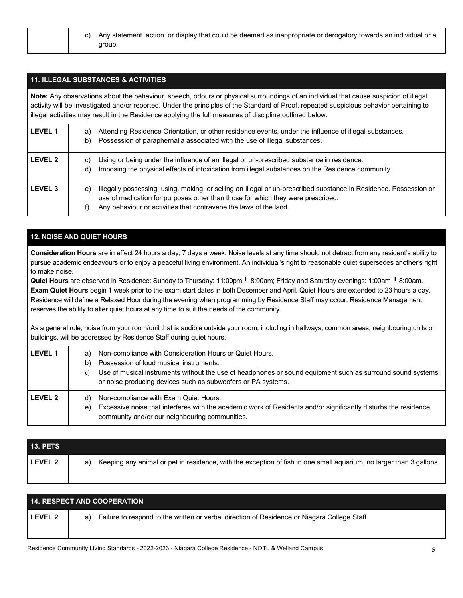| c) Any statement, action, or display that could be deemed as inappropriate or derogatory towards an individual or a |
|---------------------------------------------------------------------------------------------------------------------|
| aroup.                                                                                                              |

#### **11. ILLEGAL SUBSTANCES & ACTIVITIES**

 **Note:** Any observations about the behaviour, speech, odours or physical surroundings of an individual that cause suspicion of illegal activity will be investigated and/or reported. Under the principles of the Standard of Proof, repeated suspicious behavior pertaining to illegal activities may result in the Residence applying the full measures of discipline outlined below.

| <b>LEVEL 1</b> | Attending Residence Orientation, or other residence events, under the influence of illegal substances.<br>a)<br>Possession of paraphernalia associated with the use of illegal substances.<br>b)                                                                                      |
|----------------|---------------------------------------------------------------------------------------------------------------------------------------------------------------------------------------------------------------------------------------------------------------------------------------|
| <b>LEVEL 2</b> | Using or being under the influence of an illegal or un-prescribed substance in residence.<br>C)<br>Imposing the physical effects of intoxication from illegal substances on the Residence community.<br>d)                                                                            |
| <b>LEVEL 3</b> | Illegally possessing, using, making, or selling an illegal or un-prescribed substance in Residence. Possession or<br>e)<br>use of medication for purposes other than those for which they were prescribed.<br>Any behaviour or activities that contravene the laws of the land.<br>f) |

### **12. NOISE AND QUIET HOURS**

 **Consideration Hours** are in effect 24 hours a day, 7 days a week. Noise levels at any time should not detract from any resident's ability to pursue academic endeavours or to enjoy a peaceful living environment. An individual's right to reasonable quiet supersedes another's right to make noise.

 **Quiet Hours** are observed in Residence: Sunday to Thursday: 11:00pm ╨ 8:00am; Friday and Saturday evenings: 1:00am ╨ 8:00am.  **Exam Quiet Hours** begin 1 week prior to the exam start dates in both December and April. Quiet Hours are extended to 23 hours a day. Residence will define a Relaxed Hour during the evening when programming by Residence Staff may occur. Residence Management reserves the ability to alter quiet hours at any time to suit the needs of the community.

 As a general rule, noise from your room/unit that is audible outside your room, including in hallways, common areas, neighbouring units or buildings, will be addressed by Residence Staff during quiet hours.

| <b>LEVEL 1</b> | a)<br>b)<br>C) | Non-compliance with Consideration Hours or Quiet Hours.<br>Possession of loud musical instruments.<br>Use of musical instruments without the use of headphones or sound equipment such as surround sound systems,<br>or noise producing devices such as subwoofers or PA systems. |
|----------------|----------------|-----------------------------------------------------------------------------------------------------------------------------------------------------------------------------------------------------------------------------------------------------------------------------------|
| <b>LEVEL 2</b> | d)<br>e)       | Non-compliance with Exam Quiet Hours.<br>Excessive noise that interferes with the academic work of Residents and/or significantly disturbs the residence<br>community and/or our neighbouring communities.                                                                        |

| <b>13. PETS</b> |                                                                                                                           |
|-----------------|---------------------------------------------------------------------------------------------------------------------------|
| <b>LEVEL 2</b>  | Keeping any animal or pet in residence, with the exception of fish in one small aquarium, no larger than 3 gallons.<br>a) |

| <b>14. RESPECT AND COOPERATION</b> |                                                                                                    |  |  |
|------------------------------------|----------------------------------------------------------------------------------------------------|--|--|
| <b>LEVEL 2</b>                     | Failure to respond to the written or verbal direction of Residence or Niagara College Staff.<br>a) |  |  |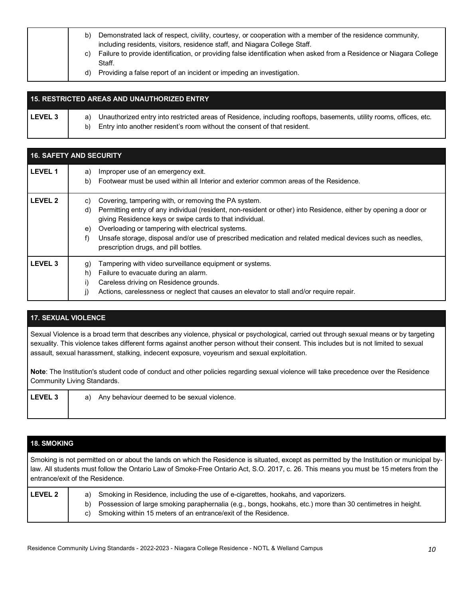| b)<br>C) | Demonstrated lack of respect, civility, courtesy, or cooperation with a member of the residence community,<br>including residents, visitors, residence staff, and Niagara College Staff.<br>Failure to provide identification, or providing false identification when asked from a Residence or Niagara College<br>Staff. |
|----------|---------------------------------------------------------------------------------------------------------------------------------------------------------------------------------------------------------------------------------------------------------------------------------------------------------------------------|
| d)       | Providing a false report of an incident or impeding an investigation.                                                                                                                                                                                                                                                     |

# LEVEL 3 | a) Unauthorized entry into restricted areas of Residence, including rooftops, basements, utility rooms, offices, etc. b) Entry into another resident's room without the consent of that resident. **15. RESTRICTED AREAS AND UNAUTHORIZED ENTRY**

| <b>16. SAFETY AND SECURITY</b> |                                                                                                                                                                                                                                                                                                                                                                                                                                                                         |  |  |
|--------------------------------|-------------------------------------------------------------------------------------------------------------------------------------------------------------------------------------------------------------------------------------------------------------------------------------------------------------------------------------------------------------------------------------------------------------------------------------------------------------------------|--|--|
| <b>LEVEL 1</b>                 | Improper use of an emergency exit.<br>a)<br>Footwear must be used within all Interior and exterior common areas of the Residence.<br>b)                                                                                                                                                                                                                                                                                                                                 |  |  |
| <b>LEVEL 2</b>                 | Covering, tampering with, or removing the PA system.<br>C)<br>Permitting entry of any individual (resident, non-resident or other) into Residence, either by opening a door or<br>d)<br>giving Residence keys or swipe cards to that individual.<br>Overloading or tampering with electrical systems.<br>e)<br>Unsafe storage, disposal and/or use of prescribed medication and related medical devices such as needles,<br>f)<br>prescription drugs, and pill bottles. |  |  |
| <b>LEVEL 3</b>                 | Tampering with video surveillance equipment or systems.<br>[g]<br>Failure to evacuate during an alarm.<br>h)<br>Careless driving on Residence grounds.<br>i)<br>Actions, carelessness or neglect that causes an elevator to stall and/or require repair.                                                                                                                                                                                                                |  |  |

# **17. SEXUAL VIOLENCE**

 Sexual Violence is a broad term that describes any violence, physical or psychological, carried out through sexual means or by targeting sexuality. This violence takes different forms against another person without their consent. This includes but is not limited to sexual assault, sexual harassment, stalking, indecent exposure, voyeurism and sexual exploitation.

 **Note**: The Institution's student code of conduct and other policies regarding sexual violence will take precedence over the Residence Community Living Standards.

| LEVEL 3 | Any behaviour deemed to be sexual violence.<br>a) |  |
|---------|---------------------------------------------------|--|
|         |                                                   |  |

#### **18. SMOKING**

 Smoking is not permitted on or about the lands on which the Residence is situated, except as permitted by the Institution or municipal by- law. All students must follow the Ontario Law of Smoke-Free Ontario Act, S.O. 2017, c. 26. This means you must be 15 meters from the entrance/exit of the Residence.

| <b>LEVEL 2</b> | a) Smoking in Residence, including the use of e-cigarettes, hookahs, and vaporizers.                          |
|----------------|---------------------------------------------------------------------------------------------------------------|
|                | b) Possession of large smoking paraphernalia (e.g., bongs, hookahs, etc.) more than 30 centimetres in height. |
|                | c) Smoking within 15 meters of an entrance/exit of the Residence.                                             |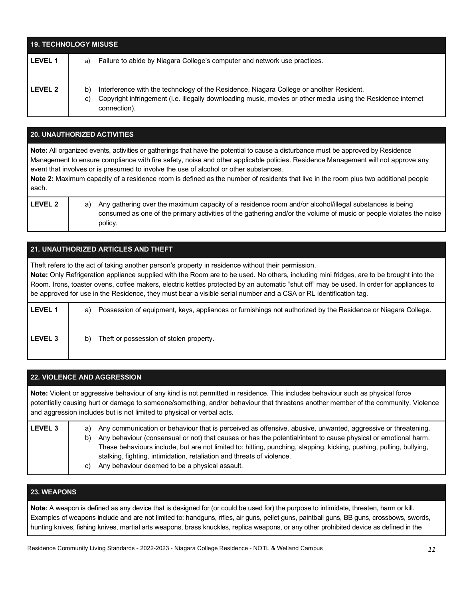| <b>19. TECHNOLOGY MISUSE</b> |                                                                                                                                                                                                                                     |  |  |
|------------------------------|-------------------------------------------------------------------------------------------------------------------------------------------------------------------------------------------------------------------------------------|--|--|
| l LEVEL 1                    | Failure to abide by Niagara College's computer and network use practices.<br>a)                                                                                                                                                     |  |  |
| l LEVEL 2                    | Interference with the technology of the Residence, Niagara College or another Resident.<br>b)<br>Copyright infringement (i.e. illegally downloading music, movies or other media using the Residence internet<br>C)<br>connection). |  |  |

#### **20. UNAUTHORIZED ACTIVITIES**

**Note:** All organized events, activities or gatherings that have the potential to cause a disturbance must be approved by Residence Management to ensure compliance with fire safety, noise and other applicable policies. Residence Management will not approve any event that involves or is presumed to involve the use of alcohol or other substances.

**Note 2:** Maximum capacity of a residence room is defined as the number of residents that live in the room plus two additional people each.

| VEL<br>F | 7 |
|----------|---|
|          |   |

**LEVEL 2** a) Any gathering over the maximum capacity of a residence room and/or alcohol/illegal substances is being consumed as one of the primary activities of the gathering and/or the volume of music or people violates the noise policy.

| 21. UNAUTHORIZED ARTICLES AND THEFT |                                                                                                                                                                                                                                                                                                                                                                                                                                                                                                               |  |  |  |
|-------------------------------------|---------------------------------------------------------------------------------------------------------------------------------------------------------------------------------------------------------------------------------------------------------------------------------------------------------------------------------------------------------------------------------------------------------------------------------------------------------------------------------------------------------------|--|--|--|
|                                     | Theft refers to the act of taking another person's property in residence without their permission.<br>Note: Only Refrigeration appliance supplied with the Room are to be used. No others, including mini fridges, are to be brought into the<br>Room. Irons, toaster ovens, coffee makers, electric kettles protected by an automatic "shut off" may be used. In order for appliances to<br>be approved for use in the Residence, they must bear a visible serial number and a CSA or RL identification tag. |  |  |  |
| <b>LEVEL 1</b>                      | Possession of equipment, keys, appliances or furnishings not authorized by the Residence or Niagara College.<br>a)                                                                                                                                                                                                                                                                                                                                                                                            |  |  |  |
| <b>LEVEL 3</b>                      | Theft or possession of stolen property.<br>b)                                                                                                                                                                                                                                                                                                                                                                                                                                                                 |  |  |  |

| <b>22. VIOLENCE AND AGGRESSION</b> |                                                                                                                                                                                                                                                                                                                                                                                                                                                                                                     |  |  |  |  |
|------------------------------------|-----------------------------------------------------------------------------------------------------------------------------------------------------------------------------------------------------------------------------------------------------------------------------------------------------------------------------------------------------------------------------------------------------------------------------------------------------------------------------------------------------|--|--|--|--|
|                                    | Note: Violent or aggressive behaviour of any kind is not permitted in residence. This includes behaviour such as physical force<br>potentially causing hurt or damage to someone/something, and/or behaviour that threatens another member of the community. Violence<br>and aggression includes but is not limited to physical or verbal acts.                                                                                                                                                     |  |  |  |  |
| <b>LEVEL 3</b>                     | Any communication or behaviour that is perceived as offensive, abusive, unwanted, aggressive or threatening.<br>a)<br>Any behaviour (consensual or not) that causes or has the potential/intent to cause physical or emotional harm.<br>b)<br>These behaviours include, but are not limited to: hitting, punching, slapping, kicking, pushing, pulling, bullying,<br>stalking, fighting, intimidation, retaliation and threats of violence.<br>Any behaviour deemed to be a physical assault.<br>C) |  |  |  |  |

#### **23. WEAPONS**

 **Note:** A weapon is defined as any device that is designed for (or could be used for) the purpose to intimidate, threaten, harm or kill. Examples of weapons include and are not limited to: handguns, rifles, air guns, pellet guns, paintball guns, BB guns, crossbows, swords, hunting knives, fishing knives, martial arts weapons, brass knuckles, replica weapons, or any other prohibited device as defined in the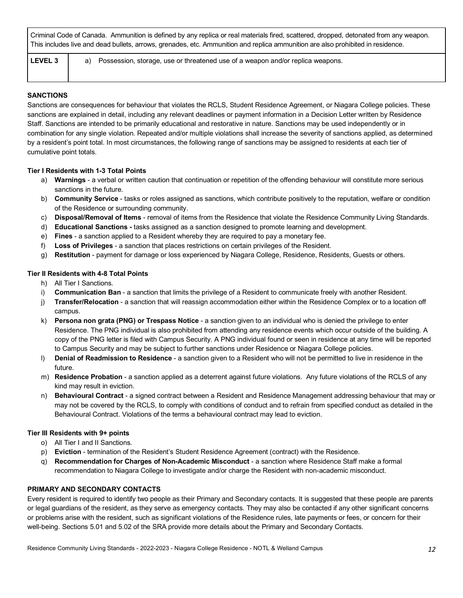Criminal Code of Canada. Ammunition is defined by any replica or real materials fired, scattered, dropped, detonated from any weapon. This includes live and dead bullets, arrows, grenades, etc. Ammunition and replica ammunition are also prohibited in residence.

LEVEL 3 | a) Possession, storage, use or threatened use of a weapon and/or replica weapons.

#### **SANCTIONS**

 Sanctions are consequences for behaviour that violates the RCLS, Student Residence Agreement, or Niagara College policies. These sanctions are explained in detail, including any relevant deadlines or payment information in a Decision Letter written by Residence Staff. Sanctions are intended to be primarily educational and restorative in nature. Sanctions may be used independently or in combination for any single violation. Repeated and/or multiple violations shall increase the severity of sanctions applied, as determined by a resident's point total. In most circumstances, the following range of sanctions may be assigned to residents at each tier of cumulative point totals.

#### **Tier I Residents with 1-3 Total Points**

- a) **Warnings**  a verbal or written caution that continuation or repetition of the offending behaviour will constitute more serious sanctions in the future.
- b) **Community Service**  tasks or roles assigned as sanctions, which contribute positively to the reputation, welfare or condition of the Residence or surrounding community.
- c) **Disposal/Removal of Items**  removal of items from the Residence that violate the Residence Community Living Standards.
- d) **Educational Sanctions -** tasks assigned as a sanction designed to promote learning and development.
- e) **Fines**  a sanction applied to a Resident whereby they are required to pay a monetary fee.
- f) **Loss of Privileges**  a sanction that places restrictions on certain privileges of the Resident.
- g) **Restitution**  payment for damage or loss experienced by Niagara College, Residence, Residents, Guests or others.

#### **Tier II Residents with 4-8 Total Points**

- h) All Tier I Sanctions.
- i) **Communication Ban**  a sanction that limits the privilege of a Resident to communicate freely with another Resident.
- j) **Transfer/Relocation**  a sanction that will reassign accommodation either within the Residence Complex or to a location off campus.
- k) **Persona non grata (PNG) or Trespass Notice**  a sanction given to an individual who is denied the privilege to enter Residence. The PNG individual is also prohibited from attending any residence events which occur outside of the building. A copy of the PNG letter is filed with Campus Security. A PNG individual found or seen in residence at any time will be reported to Campus Security and may be subject to further sanctions under Residence or Niagara College policies.
- l) **Denial of Readmission to Residence**  a sanction given to a Resident who will not be permitted to live in residence in the future.
- m) **Residence Probation**  a sanction applied as a deterrent against future violations. Any future violations of the RCLS of any kind may result in eviction.
- n) **Behavioural Contract**  a signed contract between a Resident and Residence Management addressing behaviour that may or may not be covered by the RCLS, to comply with conditions of conduct and to refrain from specified conduct as detailed in the Behavioural Contract. Violations of the terms a behavioural contract may lead to eviction.

#### **Tier III Residents with 9+ points**

- o) All Tier I and II Sanctions.
- p) **Eviction**  termination of the Resident's Student Residence Agreement (contract) with the Residence.
- q) **Recommendation for Charges of Non-Academic Misconduct**  a sanction where Residence Staff make a formal recommendation to Niagara College to investigate and/or charge the Resident with non-academic misconduct.

#### **PRIMARY AND SECONDARY CONTACTS**

 Every resident is required to identify two people as their Primary and Secondary contacts. It is suggested that these people are parents or legal guardians of the resident, as they serve as emergency contacts. They may also be contacted if any other significant concerns or problems arise with the resident, such as significant violations of the Residence rules, late payments or fees, or concern for their well-being. Sections 5.01 and 5.02 of the SRA provide more details about the Primary and Secondary Contacts.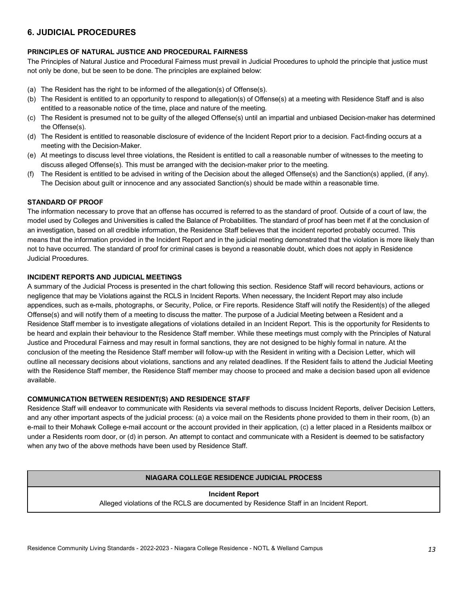# **6. JUDICIAL PROCEDURES**

#### **PRINCIPLES OF NATURAL JUSTICE AND PROCEDURAL FAIRNESS**

 The Principles of Natural Justice and Procedural Fairness must prevail in Judicial Procedures to uphold the principle that justice must not only be done, but be seen to be done. The principles are explained below:

- (a) The Resident has the right to be informed of the allegation(s) of Offense(s).
- (b) The Resident is entitled to an opportunity to respond to allegation(s) of Offense(s) at a meeting with Residence Staff and is also entitled to a reasonable notice of the time, place and nature of the meeting.
- (c) The Resident is presumed not to be guilty of the alleged Offense(s) until an impartial and unbiased Decision-maker has determined the Offense(s).
- (d) The Resident is entitled to reasonable disclosure of evidence of the Incident Report prior to a decision. Fact-finding occurs at a meeting with the Decision-Maker.
- (e) At meetings to discuss level three violations, the Resident is entitled to call a reasonable number of witnesses to the meeting to discuss alleged Offense(s). This must be arranged with the decision-maker prior to the meeting.
- (f) The Resident is entitled to be advised in writing of the Decision about the alleged Offense(s) and the Sanction(s) applied, (if any). The Decision about guilt or innocence and any associated Sanction(s) should be made within a reasonable time.

#### **STANDARD OF PROOF**

 The information necessary to prove that an offense has occurred is referred to as the standard of proof. Outside of a court of law, the model used by Colleges and Universities is called the Balance of Probabilities. The standard of proof has been met if at the conclusion of an investigation, based on all credible information, the Residence Staff believes that the incident reported probably occurred. This means that the information provided in the Incident Report and in the judicial meeting demonstrated that the violation is more likely than not to have occurred. The standard of proof for criminal cases is beyond a reasonable doubt, which does not apply in Residence Judicial Procedures.

#### **INCIDENT REPORTS AND JUDICIAL MEETINGS**

 A summary of the Judicial Process is presented in the chart following this section. Residence Staff will record behaviours, actions or negligence that may be Violations against the RCLS in Incident Reports. When necessary, the Incident Report may also include appendices, such as e-mails, photographs, or Security, Police, or Fire reports. Residence Staff will notify the Resident(s) of the alleged Offense(s) and will notify them of a meeting to discuss the matter. The purpose of a Judicial Meeting between a Resident and a Residence Staff member is to investigate allegations of violations detailed in an Incident Report. This is the opportunity for Residents to be heard and explain their behaviour to the Residence Staff member. While these meetings must comply with the Principles of Natural Justice and Procedural Fairness and may result in formal sanctions, they are not designed to be highly formal in nature. At the conclusion of the meeting the Residence Staff member will follow-up with the Resident in writing with a Decision Letter, which will outline all necessary decisions about violations, sanctions and any related deadlines. If the Resident fails to attend the Judicial Meeting with the Residence Staff member, the Residence Staff member may choose to proceed and make a decision based upon all evidence available.

#### **COMMUNICATION BETWEEN RESIDENT(S) AND RESIDENCE STAFF**

 Residence Staff will endeavor to communicate with Residents via several methods to discuss Incident Reports, deliver Decision Letters, and any other important aspects of the judicial process: (a) a voice mail on the Residents phone provided to them in their room, (b) an e-mail to their Mohawk College e-mail account or the account provided in their application, (c) a letter placed in a Residents mailbox or under a Residents room door, or (d) in person. An attempt to contact and communicate with a Resident is deemed to be satisfactory when any two of the above methods have been used by Residence Staff.

#### **NIAGARA COLLEGE RESIDENCE JUDICIAL PROCESS**

#### **Incident Report**

Alleged violations of the RCLS are documented by Residence Staff in an Incident Report.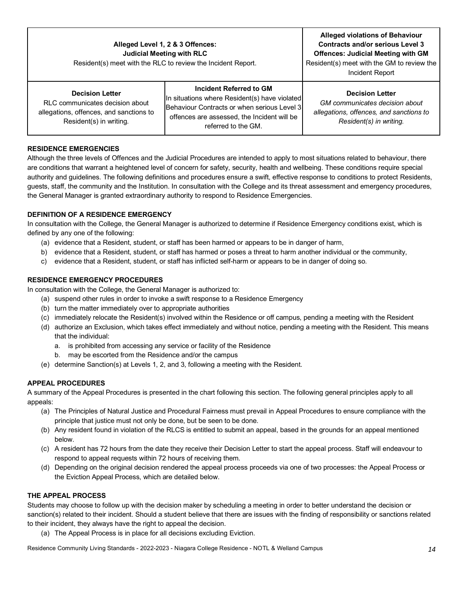| Alleged Level 1, 2 & 3 Offences:<br><b>Judicial Meeting with RLC</b><br>Resident(s) meet with the RLC to review the Incident Report. | <b>Alleged violations of Behaviour</b><br><b>Contracts and/or serious Level 3</b><br><b>Offences: Judicial Meeting with GM</b><br>Resident(s) meet with the GM to review the<br>Incident Report |                                                                                                                                |
|--------------------------------------------------------------------------------------------------------------------------------------|-------------------------------------------------------------------------------------------------------------------------------------------------------------------------------------------------|--------------------------------------------------------------------------------------------------------------------------------|
| <b>Decision Letter</b><br>RLC communicates decision about<br>allegations, offences, and sanctions to<br>Resident(s) in writing.      | Incident Referred to GM<br>In situations where Resident(s) have violated<br>Behaviour Contracts or when serious Level 3<br>offences are assessed, the Incident will be<br>referred to the GM.   | <b>Decision Letter</b><br>GM communicates decision about<br>allegations, offences, and sanctions to<br>Resident(s) in writing. |

#### **RESIDENCE EMERGENCIES**

 Although the three levels of Offences and the Judicial Procedures are intended to apply to most situations related to behaviour, there are conditions that warrant a heightened level of concern for safety, security, health and wellbeing. These conditions require special authority and guidelines. The following definitions and procedures ensure a swift, effective response to conditions to protect Residents, guests, staff, the community and the Institution. In consultation with the College and its threat assessment and emergency procedures, the General Manager is granted extraordinary authority to respond to Residence Emergencies.

#### **DEFINITION OF A RESIDENCE EMERGENCY**

 In consultation with the College, the General Manager is authorized to determine if Residence Emergency conditions exist, which is defined by any one of the following:

- (a) evidence that a Resident, student, or staff has been harmed or appears to be in danger of harm,
- b) evidence that a Resident, student, or staff has harmed or poses a threat to harm another individual or the community,
- c) evidence that a Resident, student, or staff has inflicted self-harm or appears to be in danger of doing so.

#### **RESIDENCE EMERGENCY PROCEDURES**

In consultation with the College, the General Manager is authorized to:

- (a) suspend other rules in order to invoke a swift response to a Residence Emergency
- (b) turn the matter immediately over to appropriate authorities
- (c) immediately relocate the Resident(s) involved within the Residence or off campus, pending a meeting with the Resident
- (d) authorize an Exclusion, which takes effect immediately and without notice, pending a meeting with the Resident. This means that the individual:
	- a. is prohibited from accessing any service or facility of the Residence
	- b. may be escorted from the Residence and/or the campus
- (e) determine Sanction(s) at Levels 1, 2, and 3, following a meeting with the Resident.

#### **APPEAL PROCEDURES**

 A summary of the Appeal Procedures is presented in the chart following this section. The following general principles apply to all appeals:

- (a) The Principles of Natural Justice and Procedural Fairness must prevail in Appeal Procedures to ensure compliance with the principle that justice must not only be done, but be seen to be done.
- (b) Any resident found in violation of the RLCS is entitled to submit an appeal, based in the grounds for an appeal mentioned below.
- (c) A resident has 72 hours from the date they receive their Decision Letter to start the appeal process. Staff will endeavour to respond to appeal requests within 72 hours of receiving them.
- (d) Depending on the original decision rendered the appeal process proceeds via one of two processes: the Appeal Process or the Eviction Appeal Process, which are detailed below.

#### **THE APPEAL PROCESS**

 Students may choose to follow up with the decision maker by scheduling a meeting in order to better understand the decision or sanction(s) related to their incident. Should a student believe that there are issues with the finding of responsibility or sanctions related to their incident, they always have the right to appeal the decision.

(a) The Appeal Process is in place for all decisions excluding Eviction.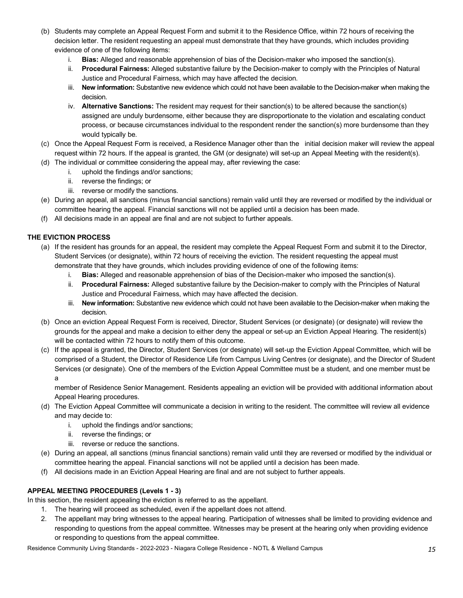- (b) Students may complete an Appeal Request Form and submit it to the Residence Office, within 72 hours of receiving the decision letter. The resident requesting an appeal must demonstrate that they have grounds, which includes providing evidence of one of the following items:
	- i. **Bias:** Alleged and reasonable apprehension of bias of the Decision-maker who imposed the sanction(s).
	- ii. **Procedural Fairness:** Alleged substantive failure by the Decision-maker to comply with the Principles of Natural Justice and Procedural Fairness, which may have affected the decision.
	- iii. **New information:** Substantive new evidence which could not have been available to the Decision-maker when making the decision.
	- iv. **Alternative Sanctions:** The resident may request for their sanction(s) to be altered because the sanction(s) assigned are unduly burdensome, either because they are disproportionate to the violation and escalating conduct process, or because circumstances individual to the respondent render the sanction(s) more burdensome than they would typically be.
- (c) Once the Appeal Request Form is received, a Residence Manager other than the initial decision maker will review the appeal request within 72 hours. If the appeal is granted, the GM (or designate) will set-up an Appeal Meeting with the resident(s).
- (d) The individual or committee considering the appeal may, after reviewing the case:
	- i. uphold the findings and/or sanctions;
	- ii. reverse the findings; or
	- iii. reverse or modify the sanctions.
- (e) During an appeal, all sanctions (minus financial sanctions) remain valid until they are reversed or modified by the individual or committee hearing the appeal. Financial sanctions will not be applied until a decision has been made.
- (f) All decisions made in an appeal are final and are not subject to further appeals.

#### **THE EVICTION PROCESS**

- (a) If the resident has grounds for an appeal, the resident may complete the Appeal Request Form and submit it to the Director, Student Services (or designate), within 72 hours of receiving the eviction. The resident requesting the appeal must demonstrate that they have grounds, which includes providing evidence of one of the following items:
	- i. **Bias:** Alleged and reasonable apprehension of bias of the Decision-maker who imposed the sanction(s).
	- ii. **Procedural Fairness:** Alleged substantive failure by the Decision-maker to comply with the Principles of Natural Justice and Procedural Fairness, which may have affected the decision.
	- iii. **New information:** Substantive new evidence which could not have been available to the Decision-maker when making the decision.
- (b) Once an eviction Appeal Request Form is received, Director, Student Services (or designate) (or designate) will review the grounds for the appeal and make a decision to either deny the appeal or set-up an Eviction Appeal Hearing. The resident(s) will be contacted within 72 hours to notify them of this outcome.
- (c) If the appeal is granted, the Director, Student Services (or designate) will set-up the Eviction Appeal Committee, which will be comprised of a Student, the Director of Residence Life from Campus Living Centres (or designate), and the Director of Student Services (or designate). One of the members of the Eviction Appeal Committee must be a student, and one member must be a

 member of Residence Senior Management. Residents appealing an eviction will be provided with additional information about Appeal Hearing procedures.

- (d) The Eviction Appeal Committee will communicate a decision in writing to the resident. The committee will review all evidence and may decide to:
	- i. uphold the findings and/or sanctions;
	- ii. reverse the findings; or
	- iii. reverse or reduce the sanctions.
- (e) During an appeal, all sanctions (minus financial sanctions) remain valid until they are reversed or modified by the individual or committee hearing the appeal. Financial sanctions will not be applied until a decision has been made.
- (f) All decisions made in an Eviction Appeal Hearing are final and are not subject to further appeals.

#### **APPEAL MEETING PROCEDURES (Levels 1 - 3)**

In this section, the resident appealing the eviction is referred to as the appellant.

- 1. The hearing will proceed as scheduled, even if the appellant does not attend.
- 2. The appellant may bring witnesses to the appeal hearing. Participation of witnesses shall be limited to providing evidence and responding to questions from the appeal committee. Witnesses may be present at the hearing only when providing evidence or responding to questions from the appeal committee.